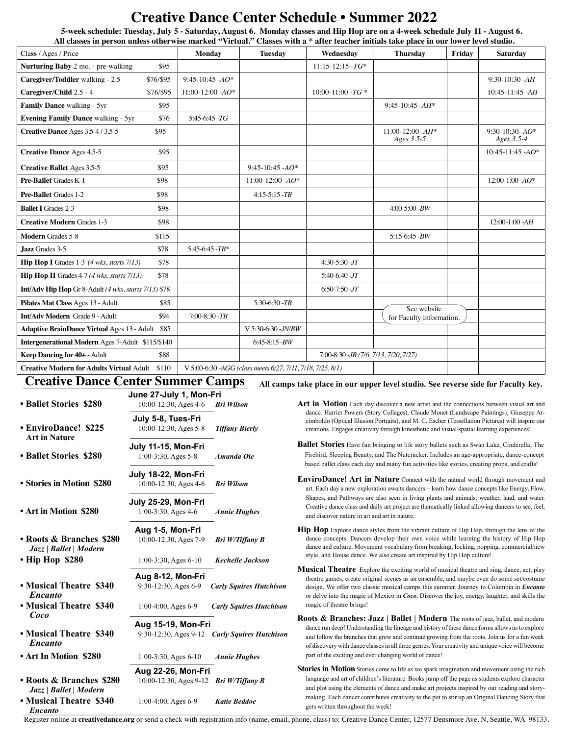# **Creative Dance Center Schedule • Summer 2022**<br>5-week schedule: Tuesday, July 5 - Saturday, August 6. Monday classes and Hip Hop are on a 4-week schedule July 11 - August 6.

**All classes in person unless otherwise marked "Virtual." Classes with a \* after teacher initials take place in our lower level studio.**

| Class / Ages / Price                                               |           | Monday                                                     | <b>Tuesday</b>      | Wednesday                              | <b>Thursday</b>                   | Friday | <b>Saturday</b>                  |
|--------------------------------------------------------------------|-----------|------------------------------------------------------------|---------------------|----------------------------------------|-----------------------------------|--------|----------------------------------|
| Nurturing Baby 2 mo. - pre-walking                                 | \$95      |                                                            |                     | $11:15 - 12:15 - TG*$                  |                                   |        |                                  |
| Caregiver/Toddler walking - 2.5                                    | \$76/\$95 | $9:45-10:45$ -AO*                                          |                     |                                        |                                   |        | $9:30-10:30 - AH$                |
| Caregiver/Child 2.5 - 4                                            | \$76/\$95 | $11:00-12:00 - AO*$                                        |                     | $10:00-11:00$ -TG *                    |                                   |        | $10:45-11:45 - AH$               |
| Family Dance walking - 5yr                                         | \$95      |                                                            |                     |                                        | $9:45-10:45$ -AH*                 |        |                                  |
| <b>Evening Family Dance walking - 5yr</b>                          | \$76      | $5:45-6:45$ -TG                                            |                     |                                        |                                   |        |                                  |
| Creative Dance Ages 3.5-4/3.5-5                                    | \$95      |                                                            |                     |                                        | $11:00-12:00 - AH*$<br>Ages 3.5-5 |        | 9:30-10:30 - $AO*$<br>Ages 3.5-4 |
| <b>Creative Dance Ages 4.5-5</b>                                   | \$95      |                                                            |                     |                                        |                                   |        | $10:45 - 11:45 - AO*$            |
| <b>Creative Ballet Ages 3.5-5</b>                                  | \$95      |                                                            | $9:45-10:45$ -AO*   |                                        |                                   |        |                                  |
| Pre-Ballet Grades K-1                                              | \$98      |                                                            | $11:00-12:00$ -AO*  |                                        |                                   |        | 12:00-1:00 - $AO*$               |
| Pre-Ballet Grades 1-2                                              | \$98      |                                                            | $4:15-5:15-TB$      |                                        |                                   |        |                                  |
| <b>Ballet I</b> Grades 2-3                                         | \$98      |                                                            |                     |                                        | $4:00-5:00$ -BW                   |        |                                  |
| <b>Creative Modern Grades 1-3</b>                                  | \$98      |                                                            |                     |                                        |                                   |        | $12:00-1:00 - AH$                |
| <b>Modern Grades 5-8</b>                                           | \$115     |                                                            |                     |                                        | $5:15-6:45-BW$                    |        |                                  |
| Jazz Grades 3-5                                                    | \$78      | $5:45-6:45-TB*$                                            |                     |                                        |                                   |        |                                  |
| <b>Hip Hop I</b> Grades 1-3 $(4 \text{ wks}, \text{starts } 7/13)$ | \$78      |                                                            |                     | $4:30-5:30$ -JT                        |                                   |        |                                  |
| <b>Hip Hop II</b> Grades $4-7$ (4 wks, starts $7/13$ )             | \$78      |                                                            |                     | $5:40-6:40$ JT                         |                                   |        |                                  |
| Int/Adv Hip Hop Gr 8-Adult (4 wks, starts 7/13) \$78               |           |                                                            |                     | $6:50-7:50$ -JT                        |                                   |        |                                  |
| Pilates Mat Class Ages 13 - Adult                                  | \$85      |                                                            | $5:30-6:30$ -TB     |                                        | See website                       |        |                                  |
| <b>Int/Adv Modern Grade 9 - Adult</b>                              | \$94      | $7:00-8:30-TB$                                             |                     |                                        | for Faculty information.          |        |                                  |
| <b>Adaptive BrainDance Virtual Ages 13 - Adult \$85</b>            |           |                                                            | V 5:30-6:30 - JN/BW |                                        |                                   |        |                                  |
| Intergenerational Modern Ages 7-Adult \$115/\$140                  |           |                                                            | $6:45-8:15-BW$      |                                        |                                   |        |                                  |
| Keep Dancing for 40+ - Adult<br>\$88                               |           |                                                            |                     | 7:00-8:30 - JR (7/6, 7/13, 7/20, 7/27) |                                   |        |                                  |
| \$110<br><b>Creative Modern for Adults Virtual Adult</b>           |           | V 5:00-6:30 -AGG (class meets 6/27, 7/11, 7/18, 7/25, 8/1) |                     |                                        |                                   |        |                                  |

# **Creative Dance Center Summer Camps**

| 10:00-12:30, Ages 4-6<br>July 5-8, Tues-Fri<br>10:00-12:30, Ages 5-8<br>July 11-15, Mon-Fri<br>1:00-3:30, Ages 5-8<br>July 18-22, Mon-Fri | <b>Bri Wilson</b><br><b>Tiffany Bierly</b><br>Amanda Oie                                                                                                                                                                                                                                                                                                                                                                                           |
|-------------------------------------------------------------------------------------------------------------------------------------------|----------------------------------------------------------------------------------------------------------------------------------------------------------------------------------------------------------------------------------------------------------------------------------------------------------------------------------------------------------------------------------------------------------------------------------------------------|
|                                                                                                                                           |                                                                                                                                                                                                                                                                                                                                                                                                                                                    |
|                                                                                                                                           |                                                                                                                                                                                                                                                                                                                                                                                                                                                    |
|                                                                                                                                           |                                                                                                                                                                                                                                                                                                                                                                                                                                                    |
|                                                                                                                                           |                                                                                                                                                                                                                                                                                                                                                                                                                                                    |
|                                                                                                                                           |                                                                                                                                                                                                                                                                                                                                                                                                                                                    |
|                                                                                                                                           |                                                                                                                                                                                                                                                                                                                                                                                                                                                    |
|                                                                                                                                           | <b>Bri Wilson</b>                                                                                                                                                                                                                                                                                                                                                                                                                                  |
|                                                                                                                                           |                                                                                                                                                                                                                                                                                                                                                                                                                                                    |
|                                                                                                                                           | <b>Annie Hughes</b>                                                                                                                                                                                                                                                                                                                                                                                                                                |
|                                                                                                                                           |                                                                                                                                                                                                                                                                                                                                                                                                                                                    |
|                                                                                                                                           | <b>Bri W/Tiffany B</b>                                                                                                                                                                                                                                                                                                                                                                                                                             |
|                                                                                                                                           | <b>Kechelle Jackson</b>                                                                                                                                                                                                                                                                                                                                                                                                                            |
|                                                                                                                                           |                                                                                                                                                                                                                                                                                                                                                                                                                                                    |
|                                                                                                                                           | <b>Carly Squires Hutchison</b>                                                                                                                                                                                                                                                                                                                                                                                                                     |
|                                                                                                                                           | <b>Carly Squires Hutchison</b>                                                                                                                                                                                                                                                                                                                                                                                                                     |
|                                                                                                                                           |                                                                                                                                                                                                                                                                                                                                                                                                                                                    |
|                                                                                                                                           | 9:30-12:30, Ages 9-12 Carly Squires Hutchison                                                                                                                                                                                                                                                                                                                                                                                                      |
|                                                                                                                                           | <b>Annie Hughes</b>                                                                                                                                                                                                                                                                                                                                                                                                                                |
|                                                                                                                                           |                                                                                                                                                                                                                                                                                                                                                                                                                                                    |
|                                                                                                                                           | <b>Bri W/Tiffany B</b>                                                                                                                                                                                                                                                                                                                                                                                                                             |
|                                                                                                                                           | <b>Katie Beddoe</b>                                                                                                                                                                                                                                                                                                                                                                                                                                |
|                                                                                                                                           | 10:00-12:30, Ages 4-6<br>July 25-29, Mon-Fri<br>$1:00-3:30$ , Ages 4-6<br>Aug 1-5, Mon-Fri<br>10:00-12:30, Ages 7-9<br>$1:00-3:30$ , Ages 6-10<br>Aug 8-12, Mon-Fri<br>9:30-12:30, Ages 6-9<br>$1:00-4:00$ , Ages 6-9<br>Aug 15-19, Mon-Fri<br>$1:00-3:30$ , Ages 6-10<br>Aug 22-26, Mon-Fri<br>10:00-12:30, Ages 9-12<br>$1:00-4:00$ , Ages 6-9<br>Register online at <b>creativedance org</b> or send a check with registration info (name email |

### **All camps take place in our upper level studio. See reverse side for Faculty key.**

Art in Motion Each day discover a new artist and the connections between visual art and dance. Harriet Powers (Story Collages), Claude Monet (Landscape Paintings), Giuseppe Arcimboldo (Optical Illusion Portraits), and M. C. Escher (Tessellation Pictures) will inspire our creations. Engages creativity through kinesthetic and visual/spatial learning experiences!

**Ballet Stories** Have fun bringing to life story ballets such as Swan Lake, Cinderella, The Firebird, Sleeping Beauty, and The Nutcracker. Includes an age-appropriate, dance-concept based ballet class each day and many fun activities like stories, creating props, and crafts!

- **EnviroDance! Art in Nature** Connect with the natural world through movement and art. Each day a new exploration awaits dancers – learn how dance concepts like Energy, Flow, Shapes, and Pathways are also seen in living plants and animals, weather, land, and water. Creative dance class and daily art project are thematically linked allowing dancers to see, feel, and discover nature in art and art in nature.
- **Hip Hop** Explore dance styles from the vibrant culture of Hip Hop, through the lens of the dance concepts. Dancers develop their own voice while learning the history of Hip Hop dance and culture. Movement vocabulary from breaking, locking, popping, commercial/new style, and House dance. We also create art inspired by Hip Hop culture!
- **Musical Theatre** Explore the exciting world of musical theatre and sing, dance, act, play theatre games, create original scenes as an ensemble, and maybe even do some set/costume design. We offer two classic musical camps this summer. Journey to Colombia in *Encanto* or delve into the magic of Mexico in *Coco*. Discover the joy, energy, laughter, and skills the magic of theatre brings!

**Roots & Branches: Jazz | Ballet | Modern** The roots of jazz, ballet, and modern dance run deep! Understanding the lineage and history of these dance forms allows us to explore and follow the branches that grew and continue growing from the roots. Join us for a fun week of discovery with dance classes in all three genres. Your creativity and unique voice will become part of the exciting and ever changing world of dance!

**Stories in Motion** Stories come to life as we spark imagination and movement using the rich language and art of children's literature. Books jump off the page as students explore character and plot using the elements of dance and make art projects inspired by our reading and storymaking. Each dancer contributes creativity to the pot to stir up an Original Dancing Story that gets written throughout the week!

Register online at **creativedance.org** or send a check with registration info (name, email, phone, class) to: Creative Dance Center, 12577 Densmore Ave. N, Seattle, WA 98133.